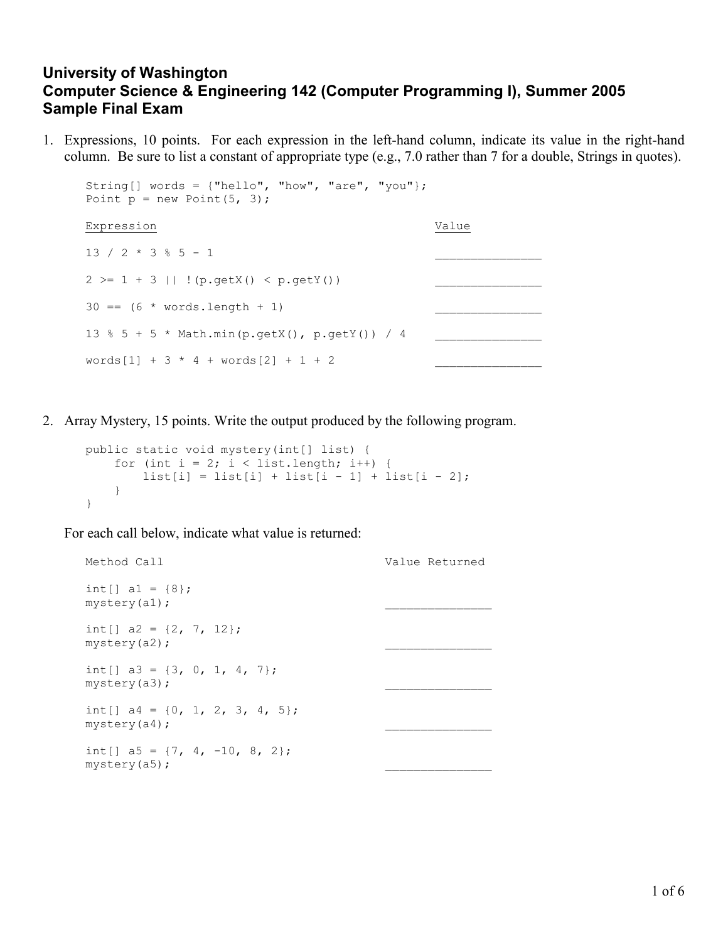## University of Washington Computer Science & Engineering 142 (Computer Programming I), Summer 2005 Sample Final Exam

1. Expressions, 10 points. For each expression in the left-hand column, indicate its value in the right-hand column. Be sure to list a constant of appropriate type (e.g., 7.0 rather than 7 for a double, Strings in quotes).

```
String \lceil words = \{\text{"hello", "how", "are", "you"\};\}Point p = new Point(5, 3);Expression Value
13 / 2 * 3 * 5 - 12 \ge 1 + 3 \mid \mid \cdot (p.getX() < p.getY())
30 = (6 * words.length + 1)13 % 5 + 5 * Math.min(p.getX(), p.getY()) / 4
words[1] + 3 * 4 + words[2] + 1 + 2
```
2. Array Mystery, 15 points. Write the output produced by the following program.

```
public static void mystery(int[] list) { 
    for (int i = 2; i < list.length; i++) {
        list[i] = list[i] + list[i - 1] + list[i - 2]; } 
}
```
For each call below, indicate what value is returned:

```
Method Call Value Returned Value Returned
int[] a1 = \{8\};mystery(a1);
int[] a2 = \{2, 7, 12\};mystery(a2);
int[] a3 = \{3, 0, 1, 4, 7\};mystery(a3);
int[] a4 = \{0, 1, 2, 3, 4, 5\};mystery(a4);
int[] a5 = \{7, 4, -10, 8, 2\};mystery(a5);
```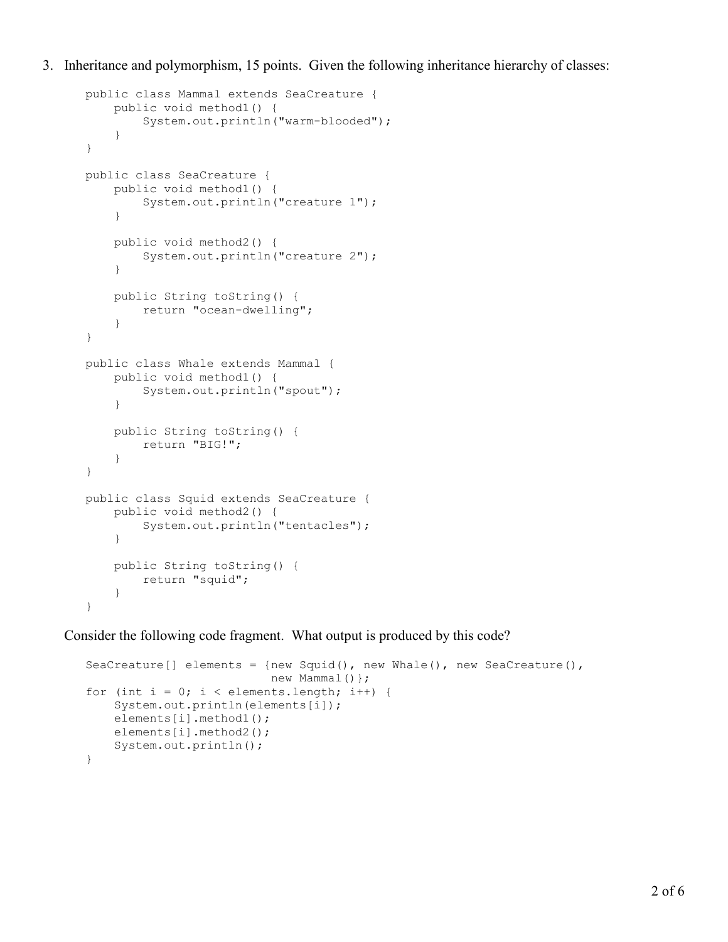3. Inheritance and polymorphism, 15 points. Given the following inheritance hierarchy of classes:

```
public class Mammal extends SeaCreature { 
     public void method1() { 
          System.out.println("warm-blooded"); 
     } 
} 
public class SeaCreature { 
     public void method1() { 
          System.out.println("creature 1"); 
     } 
     public void method2() { 
          System.out.println("creature 2"); 
     } 
     public String toString() { 
         return "ocean-dwelling"; 
     } 
} 
public class Whale extends Mammal { 
     public void method1() { 
         System.out.println("spout"); 
     } 
     public String toString() { 
          return "BIG!"; 
     } 
} 
public class Squid extends SeaCreature { 
     public void method2() { 
          System.out.println("tentacles"); 
     } 
     public String toString() { 
          return "squid"; 
     } 
}
```
Consider the following code fragment. What output is produced by this code?

```
SeaCreature[] elements = {new Squid(), new Whale(), new SeaCreature(),
                           new Mammal() };
for (int i = 0; i < elements.length; i++) {
     System.out.println(elements[i]); 
    elements[i].method1();
    elements[i].method2();
     System.out.println(); 
}
```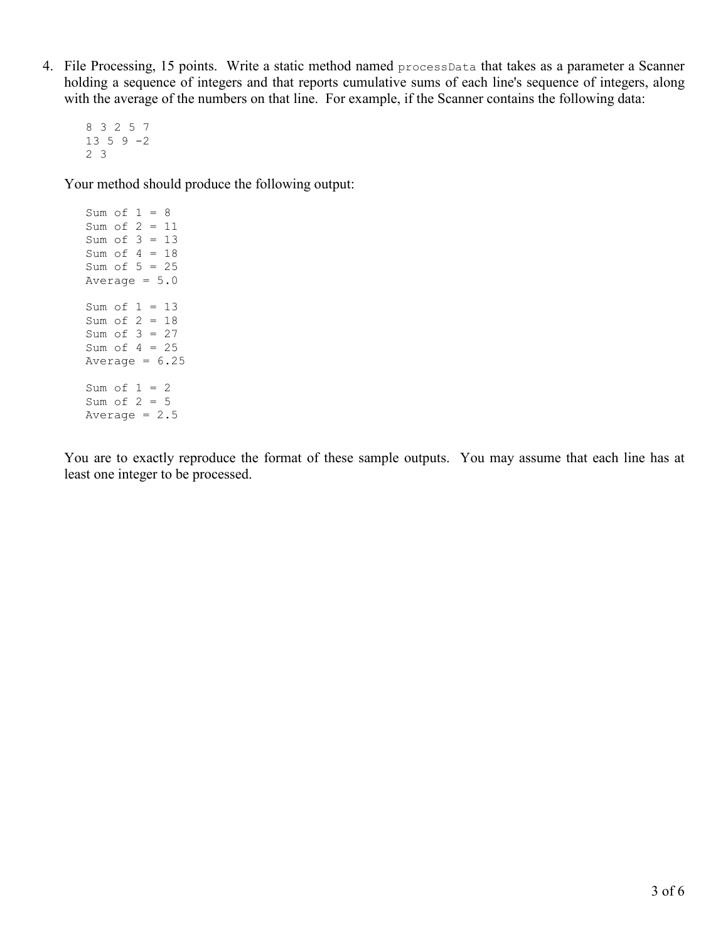4. File Processing, 15 points. Write a static method named processData that takes as a parameter a Scanner holding a sequence of integers and that reports cumulative sums of each line's sequence of integers, along with the average of the numbers on that line. For example, if the Scanner contains the following data:

8 3 2 5 7  $13 5 9 -2$ 2 3

Your method should produce the following output:

Sum of  $1 = 8$ Sum of 2 = 11 Sum of 3 = 13 Sum of 4 = 18 Sum of  $5 = 25$ Average  $= 5.0$ Sum of  $1 = 13$ Sum of 2 = 18 Sum of 3 = 27 Sum of  $4 = 25$ Average  $= 6.25$ Sum of  $1 = 2$ Sum of  $2 = 5$ Average  $= 2.5$ 

You are to exactly reproduce the format of these sample outputs. You may assume that each line has at least one integer to be processed.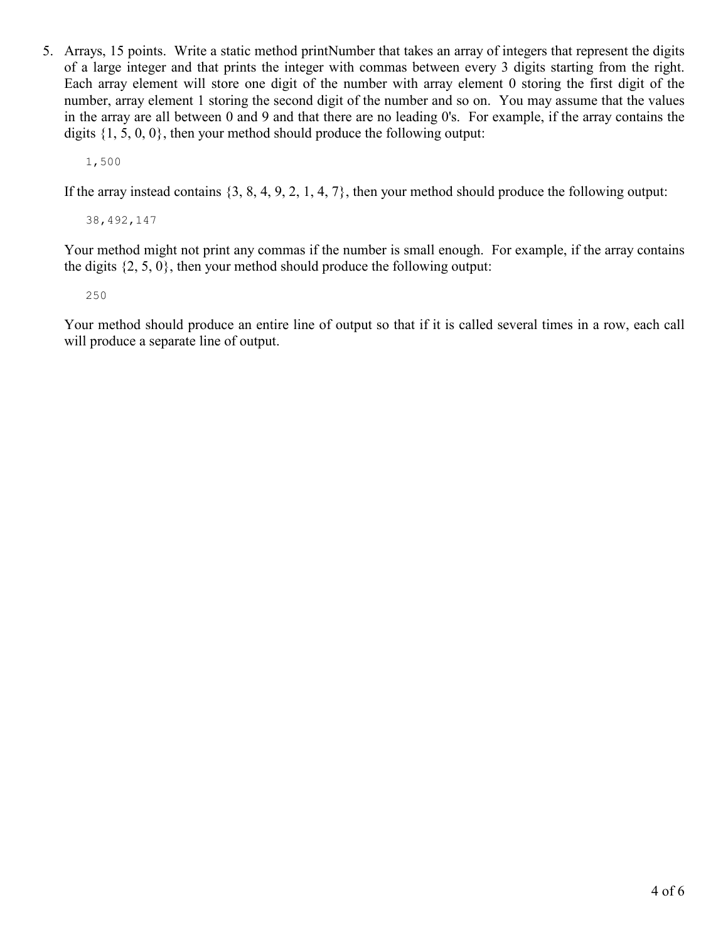5. Arrays, 15 points. Write a static method printNumber that takes an array of integers that represent the digits of a large integer and that prints the integer with commas between every 3 digits starting from the right. Each array element will store one digit of the number with array element 0 storing the first digit of the number, array element 1 storing the second digit of the number and so on. You may assume that the values in the array are all between 0 and 9 and that there are no leading 0's. For example, if the array contains the digits  $\{1, 5, 0, 0\}$ , then your method should produce the following output:

1,500

If the array instead contains {3, 8, 4, 9, 2, 1, 4, 7}, then your method should produce the following output:

38,492,147

Your method might not print any commas if the number is small enough. For example, if the array contains the digits  $\{2, 5, 0\}$ , then your method should produce the following output:

250

Your method should produce an entire line of output so that if it is called several times in a row, each call will produce a separate line of output.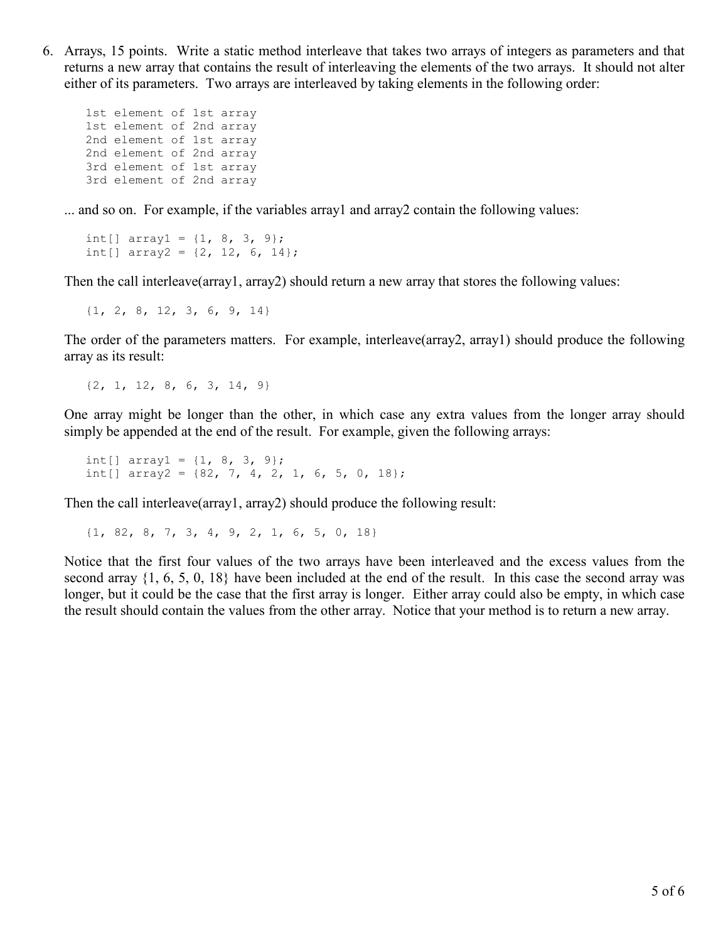6. Arrays, 15 points. Write a static method interleave that takes two arrays of integers as parameters and that returns a new array that contains the result of interleaving the elements of the two arrays. It should not alter either of its parameters. Two arrays are interleaved by taking elements in the following order:

1st element of 1st array 1st element of 2nd array 2nd element of 1st array 2nd element of 2nd array 3rd element of 1st array 3rd element of 2nd array

... and so on. For example, if the variables array1 and array2 contain the following values:

int[]  $array1 = {1, 8, 3, 9};$ int[] array2 =  $\{2, 12, 6, 14\}$ ;

Then the call interleave(array1, array2) should return a new array that stores the following values:

{1, 2, 8, 12, 3, 6, 9, 14}

The order of the parameters matters. For example, interleave(array2, array1) should produce the following array as its result:

{2, 1, 12, 8, 6, 3, 14, 9}

One array might be longer than the other, in which case any extra values from the longer array should simply be appended at the end of the result. For example, given the following arrays:

int[] array $1 = \{1, 8, 3, 9\}$ ; int[] array2 =  $\{82, 7, 4, 2, 1, 6, 5, 0, 18\};$ 

Then the call interleave(array1, array2) should produce the following result:

{1, 82, 8, 7, 3, 4, 9, 2, 1, 6, 5, 0, 18}

Notice that the first four values of the two arrays have been interleaved and the excess values from the second array {1, 6, 5, 0, 18} have been included at the end of the result. In this case the second array was longer, but it could be the case that the first array is longer. Either array could also be empty, in which case the result should contain the values from the other array. Notice that your method is to return a new array.